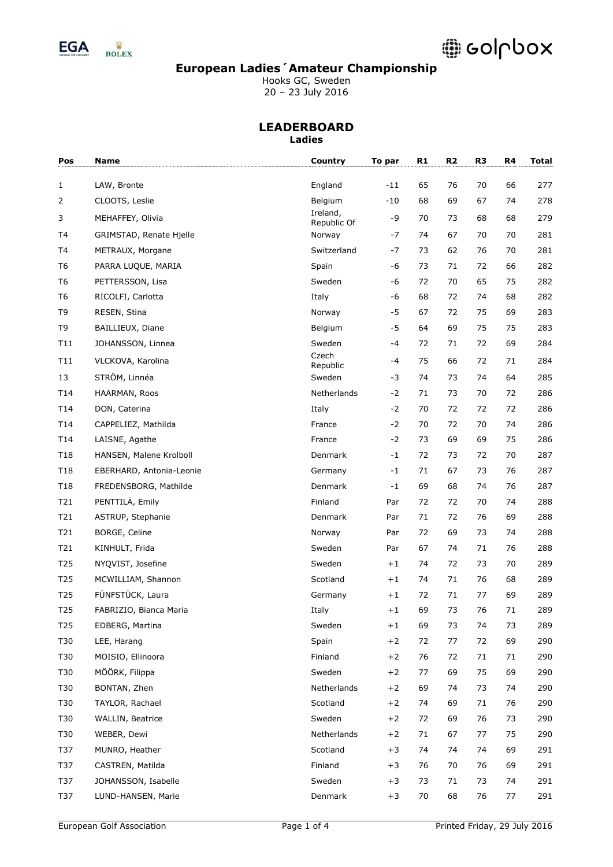

# @ colpbox

### **European Ladies´Amateur Championship**

Hooks GC, Sweden 20 – 23 July 2016

| Pos             | Name                     | Country               | To par | R1 | R <sub>2</sub> | R <sub>3</sub> | R4 | <b>Total</b> |
|-----------------|--------------------------|-----------------------|--------|----|----------------|----------------|----|--------------|
| 1               | LAW, Bronte              | England               | $-11$  | 65 | 76             | 70             | 66 | 277          |
| 2               | CLOOTS, Leslie           | Belgium               | $-10$  | 68 | 69             | 67             | 74 | 278          |
| 3               | MEHAFFEY, Olivia         | Ireland,              | -9     | 70 | 73             | 68             | 68 | 279          |
| T4              | GRIMSTAD, Renate Hjelle  | Republic Of<br>Norway | -7     | 74 | 67             | 70             | 70 | 281          |
| T4              | METRAUX, Morgane         | Switzerland           | -7     | 73 | 62             | 76             | 70 | 281          |
| T <sub>6</sub>  | PARRA LUQUE, MARIA       | Spain                 | -6     | 73 | 71             | 72             | 66 | 282          |
| T <sub>6</sub>  | PETTERSSON, Lisa         | Sweden                | -6     | 72 | 70             | 65             | 75 | 282          |
| T <sub>6</sub>  | RICOLFI, Carlotta        | Italy                 | -6     | 68 | 72             | 74             | 68 | 282          |
| T <sub>9</sub>  | RESEN, Stina             | Norway                | -5     | 67 | 72             | 75             | 69 | 283          |
| T <sub>9</sub>  | BAILLIEUX, Diane         | Belgium               | $-5$   | 64 | 69             | 75             | 75 | 283          |
| T11             | JOHANSSON, Linnea        | Sweden                | $-4$   | 72 | 71             | 72             | 69 | 284          |
| T11             | VLCKOVA, Karolina        | Czech<br>Republic     | $-4$   | 75 | 66             | 72             | 71 | 284          |
| 13              | STRÖM, Linnéa            | Sweden                | -3     | 74 | 73             | 74             | 64 | 285          |
| T14             | HAARMAN, Roos            | Netherlands           | $-2$   | 71 | 73             | 70             | 72 | 286          |
| T14             | DON, Caterina            | Italy                 | $-2$   | 70 | 72             | 72             | 72 | 286          |
| T14             | CAPPELIEZ, Mathilda      | France                | $-2$   | 70 | 72             | 70             | 74 | 286          |
| T14             | LAISNE, Agathe           | France                | $-2$   | 73 | 69             | 69             | 75 | 286          |
| T <sub>18</sub> | HANSEN, Malene Krolboll  | Denmark               | -1     | 72 | 73             | 72             | 70 | 287          |
| T <sub>18</sub> | EBERHARD, Antonia-Leonie | Germany               | $-1$   | 71 | 67             | 73             | 76 | 287          |
| T <sub>18</sub> | FREDENSBORG, Mathilde    | Denmark               | $-1$   | 69 | 68             | 74             | 76 | 287          |
| T21             | PENTTILÄ, Emily          | Finland               | Par    | 72 | 72             | 70             | 74 | 288          |
| T21             | ASTRUP, Stephanie        | Denmark               | Par    | 71 | 72             | 76             | 69 | 288          |
| T21             | BORGE, Celine            | Norway                | Par    | 72 | 69             | 73             | 74 | 288          |
| T21             | KINHULT, Frida           | Sweden                | Par    | 67 | 74             | 71             | 76 | 288          |
| T25             | NYQVIST, Josefine        | Sweden                | $+1$   | 74 | 72             | 73             | 70 | 289          |
| T25             | MCWILLIAM, Shannon       | Scotland              | $+1$   | 74 | 71             | 76             | 68 | 289          |
| T25             | FÜNFSTÜCK, Laura         | Germany               | $+1$   | 72 | 71             | 77             | 69 | 289          |
| T25             | FABRIZIO, Bianca Maria   | Italy                 | $+1$   | 69 | 73             | 76             | 71 | 289          |
| T <sub>25</sub> | EDBERG, Martina          | Sweden                | $+1$   | 69 | 73             | 74             | 73 | 289          |
| T30             | LEE, Harang              | Spain                 | $+2$   | 72 | 77             | 72             | 69 | 290          |
| T30             | MOISIO, Ellinoora        | Finland               | $+2$   | 76 | 72             | $71\,$         | 71 | 290          |
| T30             | MÖÖRK, Filippa           | Sweden                | $+2$   | 77 | 69             | 75             | 69 | 290          |
| T30             | BONTAN, Zhen             | Netherlands           | $+2$   | 69 | 74             | 73             | 74 | 290          |
| T30             | TAYLOR, Rachael          | Scotland              | $+2$   | 74 | 69             | 71             | 76 | 290          |
| T30             | WALLIN, Beatrice         | Sweden                | $+2$   | 72 | 69             | 76             | 73 | 290          |
| T30             | WEBER, Dewi              | Netherlands           | $+2$   | 71 | 67             | 77             | 75 | 290          |
| T37             | MUNRO, Heather           | Scotland              | $+3$   | 74 | 74             | 74             | 69 | 291          |
| T37             | CASTREN, Matilda         | Finland               | $+3$   | 76 | 70             | 76             | 69 | 291          |
| T37             | JOHANSSON, Isabelle      | Sweden                | $+3$   | 73 | 71             | 73             | 74 | 291          |
| T37             | LUND-HANSEN, Marie       | Denmark               | $+3$   | 70 | 68             | 76             | 77 | 291          |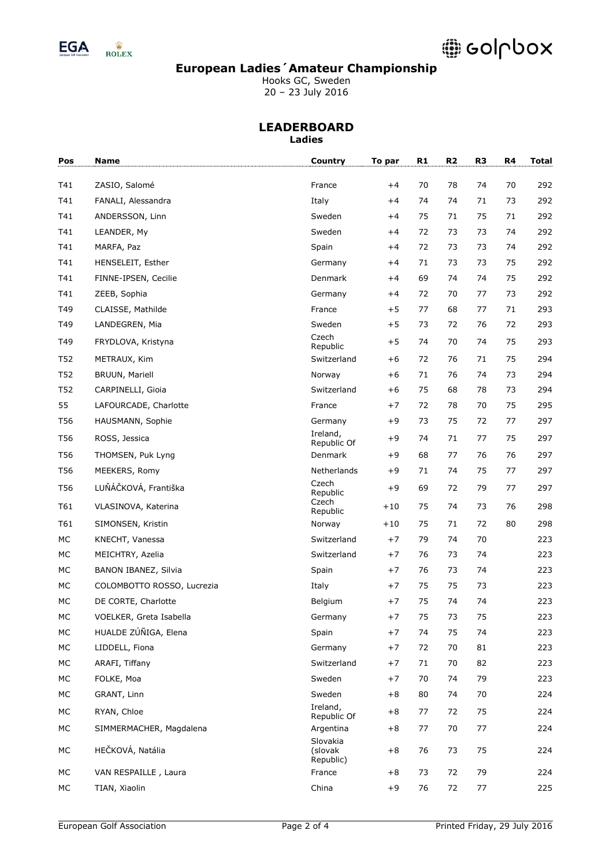

# **DODOX**

### **European Ladies´Amateur Championship**

Hooks GC, Sweden 20 – 23 July 2016

| Pos       | Name                       | Country                 | To par | R1 | R2 | R <sub>3</sub> | R4 | <b>Total</b> |
|-----------|----------------------------|-------------------------|--------|----|----|----------------|----|--------------|
| T41       | ZASIO, Salomé              | France                  | $+4$   | 70 | 78 | 74             | 70 | 292          |
| T41       | FANALI, Alessandra         | Italy                   | $+4$   | 74 | 74 | 71             | 73 | 292          |
| T41       | ANDERSSON, Linn            | Sweden                  | $+4$   | 75 | 71 | 75             | 71 | 292          |
| T41       | LEANDER, My                | Sweden                  | $+4$   | 72 | 73 | 73             | 74 | 292          |
| T41       | MARFA, Paz                 | Spain                   | $+4$   | 72 | 73 | 73             | 74 | 292          |
| T41       | HENSELEIT, Esther          | Germany                 | $+4$   | 71 | 73 | 73             | 75 | 292          |
| T41       | FINNE-IPSEN, Cecilie       | Denmark                 | $+4$   | 69 | 74 | 74             | 75 | 292          |
| T41       | ZEEB, Sophia               | Germany                 | $+4$   | 72 | 70 | 77             | 73 | 292          |
| T49       | CLAISSE, Mathilde          | France                  | $+5$   | 77 | 68 | 77             | 71 | 293          |
| T49       | LANDEGREN, Mia             | Sweden                  | $+5$   | 73 | 72 | 76             | 72 | 293          |
| T49       | FRYDLOVA, Kristyna         | Czech<br>Republic       | $+5$   | 74 | 70 | 74             | 75 | 293          |
| T52       | METRAUX, Kim               | Switzerland             | $+6$   | 72 | 76 | 71             | 75 | 294          |
| T52       | <b>BRUUN, Mariell</b>      | Norway                  | $+6$   | 71 | 76 | 74             | 73 | 294          |
| T52       | CARPINELLI, Gioia          | Switzerland             | $+6$   | 75 | 68 | 78             | 73 | 294          |
| 55        | LAFOURCADE, Charlotte      | France                  | $+7$   | 72 | 78 | 70             | 75 | 295          |
| T56       | HAUSMANN, Sophie           | Germany                 | +9     | 73 | 75 | 72             | 77 | 297          |
| T56       | ROSS, Jessica              | Ireland,<br>Republic Of | $+9$   | 74 | 71 | 77             | 75 | 297          |
| T56       | THOMSEN, Puk Lyng          | Denmark                 | $+9$   | 68 | 77 | 76             | 76 | 297          |
| T56       | MEEKERS, Romy              | Netherlands             | $+9$   | 71 | 74 | 75             | 77 | 297          |
| T56       | LUŇÁČKOVÁ, Františka       | Czech<br>Republic       | $+9$   | 69 | 72 | 79             | 77 | 297          |
| T61       | VLASINOVA, Katerina        | Czech<br>Republic       | $+10$  | 75 | 74 | 73             | 76 | 298          |
| T61       | SIMONSEN, Kristin          | Norway                  | $+10$  | 75 | 71 | 72             | 80 | 298          |
| <b>MC</b> | KNECHT, Vanessa            | Switzerland             | $+7$   | 79 | 74 | 70             |    | 223          |
| <b>MC</b> | MEICHTRY, Azelia           | Switzerland             | $+7$   | 76 | 73 | 74             |    | 223          |
| <b>MC</b> | BANON IBANEZ, Silvia       | Spain                   | $+7$   | 76 | 73 | 74             |    | 223          |
| MC        | COLOMBOTTO ROSSO, Lucrezia | Italy                   | $+7$   | 75 | 75 | 73             |    | 223          |
| <b>MC</b> | DE CORTE, Charlotte        | Belgium                 | $+7$   | 75 | 74 | 74             |    | 223          |
| MC        | VOELKER, Greta Isabella    | Germany                 | $+7$   | 75 | 73 | 75             |    | 223          |
| МC        | HUALDE ZÚÑIGA, Elena       | Spain                   | $+7$   | 74 | 75 | 74             |    | 223          |
| МC        | LIDDELL, Fiona             | Germany                 | $+7$   | 72 | 70 | 81             |    | 223          |
| МC        | ARAFI, Tiffany             | Switzerland             | $+7$   | 71 | 70 | 82             |    | 223          |
| МC        | FOLKE, Moa                 | Sweden                  | $+7$   | 70 | 74 | 79             |    | 223          |
| МC        | GRANT, Linn                | Sweden                  | $+8$   | 80 | 74 | 70             |    | 224          |
| MC        | RYAN, Chloe                | Ireland,<br>Republic Of | $+8$   | 77 | 72 | 75             |    | 224          |
| МC        | SIMMERMACHER, Magdalena    | Argentina<br>Slovakia   | $+8$   | 77 | 70 | 77             |    | 224          |
| $MC$      | HEČKOVÁ, Natália           | (slovak<br>Republic)    | $+8$   | 76 | 73 | 75             |    | 224          |
| MC        | VAN RESPAILLE, Laura       | France                  | $+8$   | 73 | 72 | 79             |    | 224          |
| МC        | TIAN, Xiaolin              | China                   | $+9$   | 76 | 72 | 77             |    | 225          |
|           |                            |                         |        |    |    |                |    |              |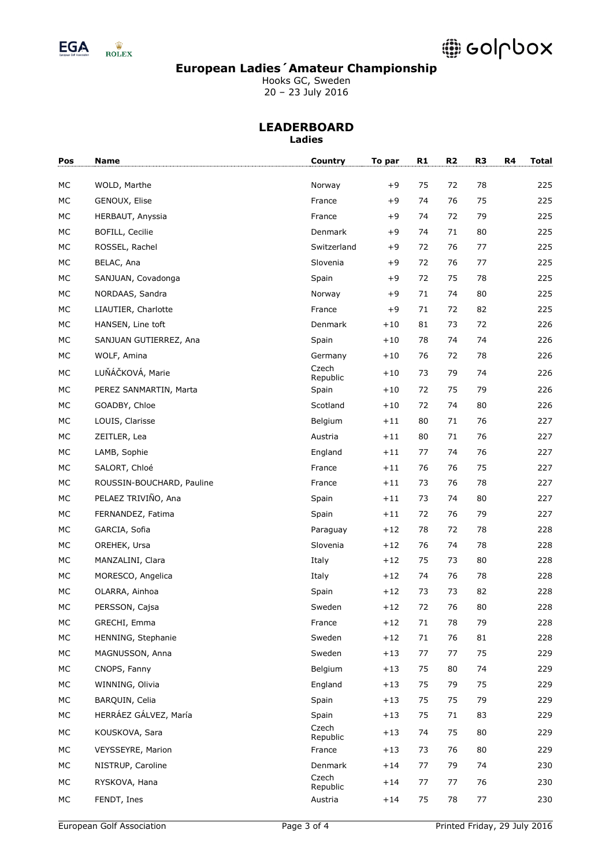

## **DODOX**

### **European Ladies´Amateur Championship**

Hooks GC, Sweden 20 – 23 July 2016

| Pos | Name                      | Country           | To par | R1 | R <sub>2</sub> | R <sub>3</sub> | R4<br><b>Total</b> |
|-----|---------------------------|-------------------|--------|----|----------------|----------------|--------------------|
| МC  | WOLD, Marthe              | Norway            | $+9$   | 75 | 72             | 78             | 225                |
| МC  | GENOUX, Elise             | France            | $+9$   | 74 | 76             | 75             | 225                |
| МC  | HERBAUT, Anyssia          | France            | $+9$   | 74 | 72             | 79             | 225                |
| МC  | BOFILL, Cecilie           | Denmark           | $+9$   | 74 | 71             | 80             | 225                |
| МC  | ROSSEL, Rachel            | Switzerland       | $+9$   | 72 | 76             | 77             | 225                |
| МC  | BELAC, Ana                | Slovenia          | $+9$   | 72 | 76             | 77             | 225                |
| МC  | SANJUAN, Covadonga        | Spain             | $+9$   | 72 | 75             | 78             | 225                |
| МC  | NORDAAS, Sandra           | Norway            | $+9$   | 71 | 74             | 80             | 225                |
| МC  | LIAUTIER, Charlotte       | France            | $+9$   | 71 | 72             | 82             | 225                |
| МC  | HANSEN, Line toft         | Denmark           | $+10$  | 81 | 73             | 72             | 226                |
| МC  | SANJUAN GUTIERREZ, Ana    | Spain             | $+10$  | 78 | 74             | 74             | 226                |
| МC  | WOLF, Amina               | Germany           | $+10$  | 76 | 72             | 78             | 226                |
| МC  | LUŇÁČKOVÁ, Marie          | Czech<br>Republic | $+10$  | 73 | 79             | 74             | 226                |
| МC  | PEREZ SANMARTIN, Marta    | Spain             | $+10$  | 72 | 75             | 79             | 226                |
| МC  | GOADBY, Chloe             | Scotland          | $+10$  | 72 | 74             | 80             | 226                |
| МC  | LOUIS, Clarisse           | Belgium           | $+11$  | 80 | 71             | 76             | 227                |
| МC  | ZEITLER, Lea              | Austria           | $+11$  | 80 | 71             | 76             | 227                |
| МC  | LAMB, Sophie              | England           | $+11$  | 77 | 74             | 76             | 227                |
| MC  | SALORT, Chloé             | France            | $+11$  | 76 | 76             | 75             | 227                |
| МC  | ROUSSIN-BOUCHARD, Pauline | France            | $+11$  | 73 | 76             | 78             | 227                |
| МC  | PELAEZ TRIVIÑO, Ana       | Spain             | $+11$  | 73 | 74             | 80             | 227                |
| МC  | FERNANDEZ, Fatima         | Spain             | $+11$  | 72 | 76             | 79             | 227                |
| MC  | GARCIA, Sofia             | Paraguay          | $+12$  | 78 | 72             | 78             | 228                |
| МC  | OREHEK, Ursa              | Slovenia          | $+12$  | 76 | 74             | 78             | 228                |
| МC  | MANZALINI, Clara          | Italy             | $+12$  | 75 | 73             | 80             | 228                |
| МC  | MORESCO, Angelica         | Italy             | $+12$  | 74 | 76             | 78             | 228                |
| МC  | OLARRA, Ainhoa            | Spain             | $+12$  | 73 | 73             | 82             | 228                |
| МC  | PERSSON, Cajsa            | Sweden            | $+12$  | 72 | 76             | 80             | 228                |
| МC  | GRECHI, Emma              | France            | $+12$  | 71 | 78             | 79             | 228                |
| МC  | HENNING, Stephanie        | Sweden            | $+12$  | 71 | 76             | 81             | 228                |
| МC  | MAGNUSSON, Anna           | Sweden            | $+13$  | 77 | 77             | 75             | 229                |
| МC  | CNOPS, Fanny              | Belgium           | $+13$  | 75 | 80             | 74             | 229                |
| МC  | WINNING, Olivia           | England           | $+13$  | 75 | 79             | 75             | 229                |
| МC  | BARQUIN, Celia            | Spain             | $+13$  | 75 | 75             | 79             | 229                |
| МC  | HERRÁEZ GÁLVEZ, María     | Spain             | $+13$  | 75 | 71             | 83             | 229                |
| МC  | KOUSKOVA, Sara            | Czech<br>Republic | $+13$  | 74 | 75             | 80             | 229                |
| МC  | VEYSSEYRE, Marion         | France            | $+13$  | 73 | 76             | 80             | 229                |
| МC  | NISTRUP, Caroline         | Denmark           | $+14$  | 77 | 79             | 74             | 230                |
| МC  | RYSKOVA, Hana             | Czech<br>Republic | $+14$  | 77 | 77             | 76             | 230                |
| МC  | FENDT, Ines               | Austria           | $+14$  | 75 | 78             | 77             | 230                |
|     |                           |                   |        |    |                |                |                    |